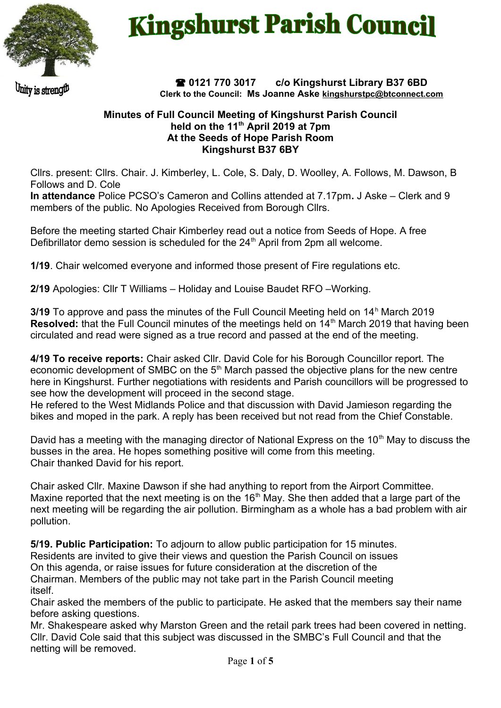

## **Kingshurst Parish Council**

Unity is strength

 **0121 770 3017 c/o Kingshurst Library B37 6BD Clerk to the Council: Ms Joanne Aske [kingshurstpc@btconnect.com](mailto:kingshurstpc@btconnect.com)**

## **Minutes of Full Council Meeting of Kingshurst Parish Council held on the 11th April 2019 at 7pm At the Seeds of Hope Parish Room Kingshurst B37 6BY**

Cllrs. present: Cllrs. Chair. J. Kimberley, L. Cole, S. Daly, D. Woolley, A. Follows, M. Dawson, B Follows and D. Cole

**In attendance** Police PCSO's Cameron and Collins attended at 7.17pm**.** J Aske – Clerk and 9 members of the public. No Apologies Received from Borough Cllrs.

Before the meeting started Chair Kimberley read out a notice from Seeds of Hope. A free Defibrillator demo session is scheduled for the  $24<sup>th</sup>$  April from 2pm all welcome.

**1/19**. Chair welcomed everyone and informed those present of Fire regulations etc.

**2/19** Apologies: Cllr T Williams – Holiday and Louise Baudet RFO –Working.

**3/19** To approve and pass the minutes of the Full Council Meeting held on 14<sup>h</sup> March 2019 **Resolved:** that the Full Council minutes of the meetings held on 14<sup>th</sup> March 2019 that having been circulated and read were signed as a true record and passed at the end of the meeting.

**4/19 To receive reports:** Chair asked Cllr. David Cole for his Borough Councillor report. The economic development of SMBC on the  $5<sup>th</sup>$  March passed the objective plans for the new centre here in Kingshurst. Further negotiations with residents and Parish councillors will be progressed to see how the development will proceed in the second stage.

He refered to the West Midlands Police and that discussion with David Jamieson regarding the bikes and moped in the park. A reply has been received but not read from the Chief Constable.

David has a meeting with the managing director of National Express on the  $10<sup>th</sup>$  May to discuss the busses in the area. He hopes something positive will come from this meeting. Chair thanked David for his report.

Chair asked Cllr. Maxine Dawson if she had anything to report from the Airport Committee. Maxine reported that the next meeting is on the  $16<sup>th</sup>$  May. She then added that a large part of the next meeting will be regarding the air pollution. Birmingham as a whole has a bad problem with air pollution.

**5/19. Public Participation:** To adjourn to allow public participation for 15 minutes. Residents are invited to give their views and question the Parish Council on issues On this agenda, or raise issues for future consideration at the discretion of the Chairman. Members of the public may not take part in the Parish Council meeting itself.

Chair asked the members of the public to participate. He asked that the members say their name before asking questions.

Mr. Shakespeare asked why Marston Green and the retail park trees had been covered in netting. Cllr. David Cole said that this subject was discussed in the SMBC's Full Council and that the netting will be removed.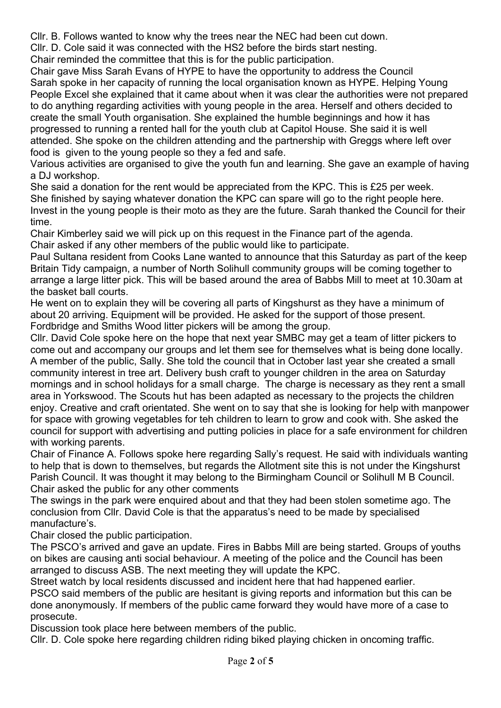Cllr. B. Follows wanted to know why the trees near the NEC had been cut down.

Cllr. D. Cole said it was connected with the HS2 before the birds start nesting.

Chair reminded the committee that this is for the public participation.

Chair gave Miss Sarah Evans of HYPE to have the opportunity to address the Council Sarah spoke in her capacity of running the local organisation known as HYPE. Helping Young People Excel she explained that it came about when it was clear the authorities were not prepared to do anything regarding activities with young people in the area. Herself and others decided to create the small Youth organisation. She explained the humble beginnings and how it has progressed to running a rented hall for the youth club at Capitol House. She said it is well attended. She spoke on the children attending and the partnership with Greggs where left over food is given to the young people so they a fed and safe.

Various activities are organised to give the youth fun and learning. She gave an example of having a DJ workshop.

She said a donation for the rent would be appreciated from the KPC. This is £25 per week. She finished by saying whatever donation the KPC can spare will go to the right people here. Invest in the young people is their moto as they are the future. Sarah thanked the Council for their time.

Chair Kimberley said we will pick up on this request in the Finance part of the agenda. Chair asked if any other members of the public would like to participate.

Paul Sultana resident from Cooks Lane wanted to announce that this Saturday as part of the keep Britain Tidy campaign, a number of North Solihull community groups will be coming together to arrange a large litter pick. This will be based around the area of Babbs Mill to meet at 10.30am at the basket ball courts.

He went on to explain they will be covering all parts of Kingshurst as they have a minimum of about 20 arriving. Equipment will be provided. He asked for the support of those present. Fordbridge and Smiths Wood litter pickers will be among the group.

Cllr. David Cole spoke here on the hope that next year SMBC may get a team of litter pickers to come out and accompany our groups and let them see for themselves what is being done locally. A member of the public, Sally. She told the council that in October last year she created a small community interest in tree art. Delivery bush craft to younger children in the area on Saturday mornings and in school holidays for a small charge. The charge is necessary as they rent a small area in Yorkswood. The Scouts hut has been adapted as necessary to the projects the children enjoy. Creative and craft orientated. She went on to say that she is looking for help with manpower for space with growing vegetables for teh children to learn to grow and cook with. She asked the council for support with advertising and putting policies in place for a safe environment for children with working parents.

Chair of Finance A. Follows spoke here regarding Sally's request. He said with individuals wanting to help that is down to themselves, but regards the Allotment site this is not under the Kingshurst Parish Council. It was thought it may belong to the Birmingham Council or Solihull M B Council. Chair asked the public for any other comments

The swings in the park were enquired about and that they had been stolen sometime ago. The conclusion from Cllr. David Cole is that the apparatus's need to be made by specialised manufacture's.

Chair closed the public participation.

The PSCO's arrived and gave an update. Fires in Babbs Mill are being started. Groups of youths on bikes are causing anti social behaviour. A meeting of the police and the Council has been arranged to discuss ASB. The next meeting they will update the KPC.

Street watch by local residents discussed and incident here that had happened earlier.

PSCO said members of the public are hesitant is giving reports and information but this can be done anonymously. If members of the public came forward they would have more of a case to prosecute.

Discussion took place here between members of the public.

Cllr. D. Cole spoke here regarding children riding biked playing chicken in oncoming traffic.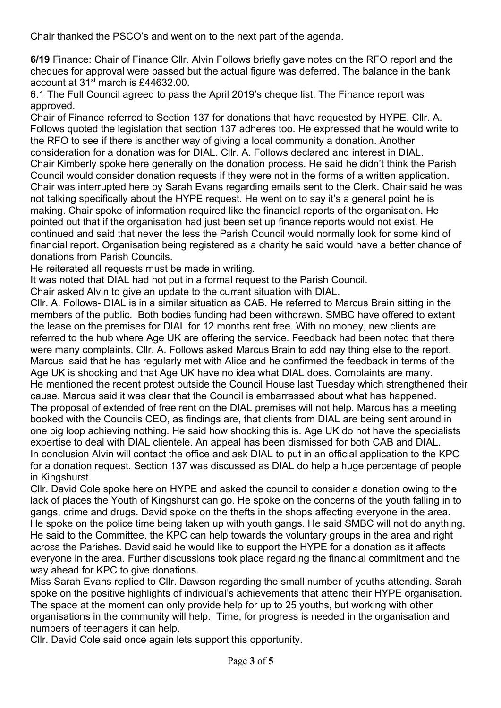Chair thanked the PSCO's and went on to the next part of the agenda.

**6/19** Finance: Chair of Finance Cllr. Alvin Follows briefly gave notes on the RFO report and the cheques for approval were passed but the actual figure was deferred. The balance in the bank account at 31st march is £44632.00.

6.1 The Full Council agreed to pass the April 2019's cheque list. The Finance report was approved.

Chair of Finance referred to Section 137 for donations that have requested by HYPE. Cllr. A. Follows quoted the legislation that section 137 adheres too. He expressed that he would write to the RFO to see if there is another way of giving a local community a donation. Another consideration for a donation was for DIAL. Cllr. A. Follows declared and interest in DIAL. Chair Kimberly spoke here generally on the donation process. He said he didn't think the Parish Council would consider donation requests if they were not in the forms of a written application. Chair was interrupted here by Sarah Evans regarding emails sent to the Clerk. Chair said he was not talking specifically about the HYPE request. He went on to say it's a general point he is making. Chair spoke of information required like the financial reports of the organisation. He pointed out that if the organisation had just been set up finance reports would not exist. He continued and said that never the less the Parish Council would normally look for some kind of financial report. Organisation being registered as a charity he said would have a better chance of donations from Parish Councils.

He reiterated all requests must be made in writing.

It was noted that DIAL had not put in a formal request to the Parish Council.

Chair asked Alvin to give an update to the current situation with DIAL.

Cllr. A. Follows- DIAL is in a similar situation as CAB. He referred to Marcus Brain sitting in the members of the public. Both bodies funding had been withdrawn. SMBC have offered to extent the lease on the premises for DIAL for 12 months rent free. With no money, new clients are referred to the hub where Age UK are offering the service. Feedback had been noted that there were many complaints. Cllr. A. Follows asked Marcus Brain to add nay thing else to the report. Marcus said that he has regularly met with Alice and he confirmed the feedback in terms of the Age UK is shocking and that Age UK have no idea what DIAL does. Complaints are many. He mentioned the recent protest outside the Council House last Tuesday which strengthened their cause. Marcus said it was clear that the Council is embarrassed about what has happened. The proposal of extended of free rent on the DIAL premises will not help. Marcus has a meeting booked with the Councils CEO, as findings are, that clients from DIAL are being sent around in one big loop achieving nothing. He said how shocking this is. Age UK do not have the specialists expertise to deal with DIAL clientele. An appeal has been dismissed for both CAB and DIAL. In conclusion Alvin will contact the office and ask DIAL to put in an official application to the KPC for a donation request. Section 137 was discussed as DIAL do help a huge percentage of people in Kingshurst.

Cllr. David Cole spoke here on HYPE and asked the council to consider a donation owing to the lack of places the Youth of Kingshurst can go. He spoke on the concerns of the youth falling in to gangs, crime and drugs. David spoke on the thefts in the shops affecting everyone in the area. He spoke on the police time being taken up with youth gangs. He said SMBC will not do anything. He said to the Committee, the KPC can help towards the voluntary groups in the area and right across the Parishes. David said he would like to support the HYPE for a donation as it affects everyone in the area. Further discussions took place regarding the financial commitment and the way ahead for KPC to give donations.

Miss Sarah Evans replied to Cllr. Dawson regarding the small number of youths attending. Sarah spoke on the positive highlights of individual's achievements that attend their HYPE organisation. The space at the moment can only provide help for up to 25 youths, but working with other organisations in the community will help. Time, for progress is needed in the organisation and numbers of teenagers it can help.

Cllr. David Cole said once again lets support this opportunity.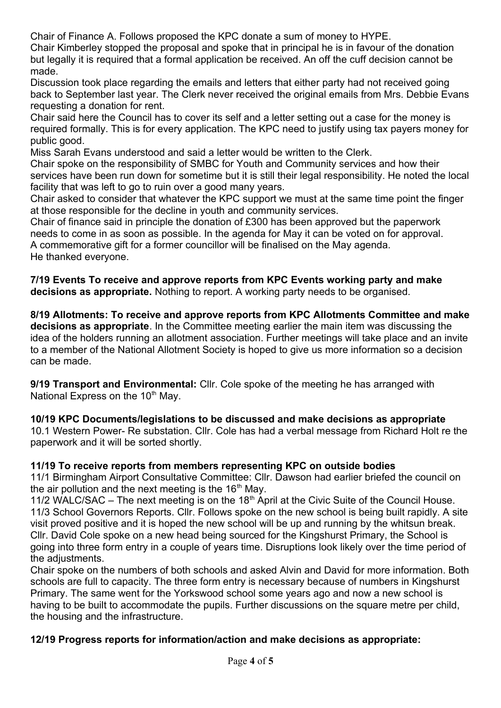Chair of Finance A. Follows proposed the KPC donate a sum of money to HYPE.

Chair Kimberley stopped the proposal and spoke that in principal he is in favour of the donation but legally it is required that a formal application be received. An off the cuff decision cannot be made.

Discussion took place regarding the emails and letters that either party had not received going back to September last year. The Clerk never received the original emails from Mrs. Debbie Evans requesting a donation for rent.

Chair said here the Council has to cover its self and a letter setting out a case for the money is required formally. This is for every application. The KPC need to justify using tax payers money for public good.

Miss Sarah Evans understood and said a letter would be written to the Clerk.

Chair spoke on the responsibility of SMBC for Youth and Community services and how their services have been run down for sometime but it is still their legal responsibility. He noted the local facility that was left to go to ruin over a good many years.

Chair asked to consider that whatever the KPC support we must at the same time point the finger at those responsible for the decline in youth and community services.

Chair of finance said in principle the donation of £300 has been approved but the paperwork needs to come in as soon as possible. In the agenda for May it can be voted on for approval. A commemorative gift for a former councillor will be finalised on the May agenda. He thanked everyone.

**7/19 Events To receive and approve reports from KPC Events working party and make decisions as appropriate.** Nothing to report. A working party needs to be organised.

**8/19 Allotments: To receive and approve reports from KPC Allotments Committee and make decisions as appropriate**. In the Committee meeting earlier the main item was discussing the idea of the holders running an allotment association. Further meetings will take place and an invite to a member of the National Allotment Society is hoped to give us more information so a decision can be made.

**9/19 Transport and Environmental:** Cllr. Cole spoke of the meeting he has arranged with National Express on the  $10<sup>th</sup>$  May.

**10/19 KPC Documents/legislations to be discussed and make decisions as appropriate**

10.1 Western Power- Re substation. Cllr. Cole has had a verbal message from Richard Holt re the paperwork and it will be sorted shortly.

## **11/19 To receive reports from members representing KPC on outside bodies**

11/1 Birmingham Airport Consultative Committee: Cllr. Dawson had earlier briefed the council on the air pollution and the next meeting is the  $16<sup>th</sup>$  May.

11/2 WALC/SAC – The next meeting is on the  $18<sup>th</sup>$  April at the Civic Suite of the Council House. 11/3 School Governors Reports. Cllr. Follows spoke on the new school is being built rapidly. A site visit proved positive and it is hoped the new school will be up and running by the whitsun break. Cllr. David Cole spoke on a new head being sourced for the Kingshurst Primary, the School is going into three form entry in a couple of years time. Disruptions look likely over the time period of the adjustments.

Chair spoke on the numbers of both schools and asked Alvin and David for more information. Both schools are full to capacity. The three form entry is necessary because of numbers in Kingshurst Primary. The same went for the Yorkswood school some years ago and now a new school is having to be built to accommodate the pupils. Further discussions on the square metre per child, the housing and the infrastructure.

## **12/19 Progress reports for information/action and make decisions as appropriate:**